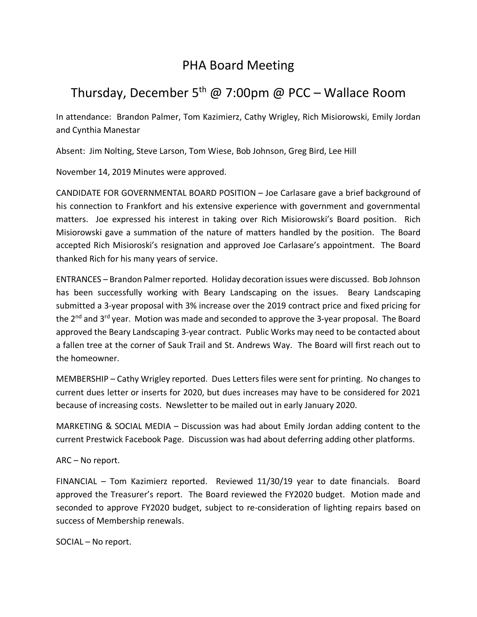## PHA Board Meeting

## Thursday, December 5<sup>th</sup> @ 7:00pm @ PCC – Wallace Room

In attendance: Brandon Palmer, Tom Kazimierz, Cathy Wrigley, Rich Misiorowski, Emily Jordan and Cynthia Manestar

Absent: Jim Nolting, Steve Larson, Tom Wiese, Bob Johnson, Greg Bird, Lee Hill

November 14, 2019 Minutes were approved.

CANDIDATE FOR GOVERNMENTAL BOARD POSITION – Joe Carlasare gave a brief background of his connection to Frankfort and his extensive experience with government and governmental matters. Joe expressed his interest in taking over Rich Misiorowski's Board position. Rich Misiorowski gave a summation of the nature of matters handled by the position. The Board accepted Rich Misioroski's resignation and approved Joe Carlasare's appointment. The Board thanked Rich for his many years of service.

ENTRANCES – Brandon Palmer reported. Holiday decoration issues were discussed. Bob Johnson has been successfully working with Beary Landscaping on the issues. Beary Landscaping submitted a 3-year proposal with 3% increase over the 2019 contract price and fixed pricing for the 2<sup>nd</sup> and 3<sup>rd</sup> year. Motion was made and seconded to approve the 3-year proposal. The Board approved the Beary Landscaping 3-year contract. Public Works may need to be contacted about a fallen tree at the corner of Sauk Trail and St. Andrews Way. The Board will first reach out to the homeowner.

MEMBERSHIP – Cathy Wrigley reported. Dues Letters files were sent for printing. No changes to current dues letter or inserts for 2020, but dues increases may have to be considered for 2021 because of increasing costs. Newsletter to be mailed out in early January 2020.

MARKETING & SOCIAL MEDIA – Discussion was had about Emily Jordan adding content to the current Prestwick Facebook Page. Discussion was had about deferring adding other platforms.

## ARC – No report.

FINANCIAL – Tom Kazimierz reported. Reviewed 11/30/19 year to date financials. Board approved the Treasurer's report. The Board reviewed the FY2020 budget. Motion made and seconded to approve FY2020 budget, subject to re-consideration of lighting repairs based on success of Membership renewals.

SOCIAL – No report.